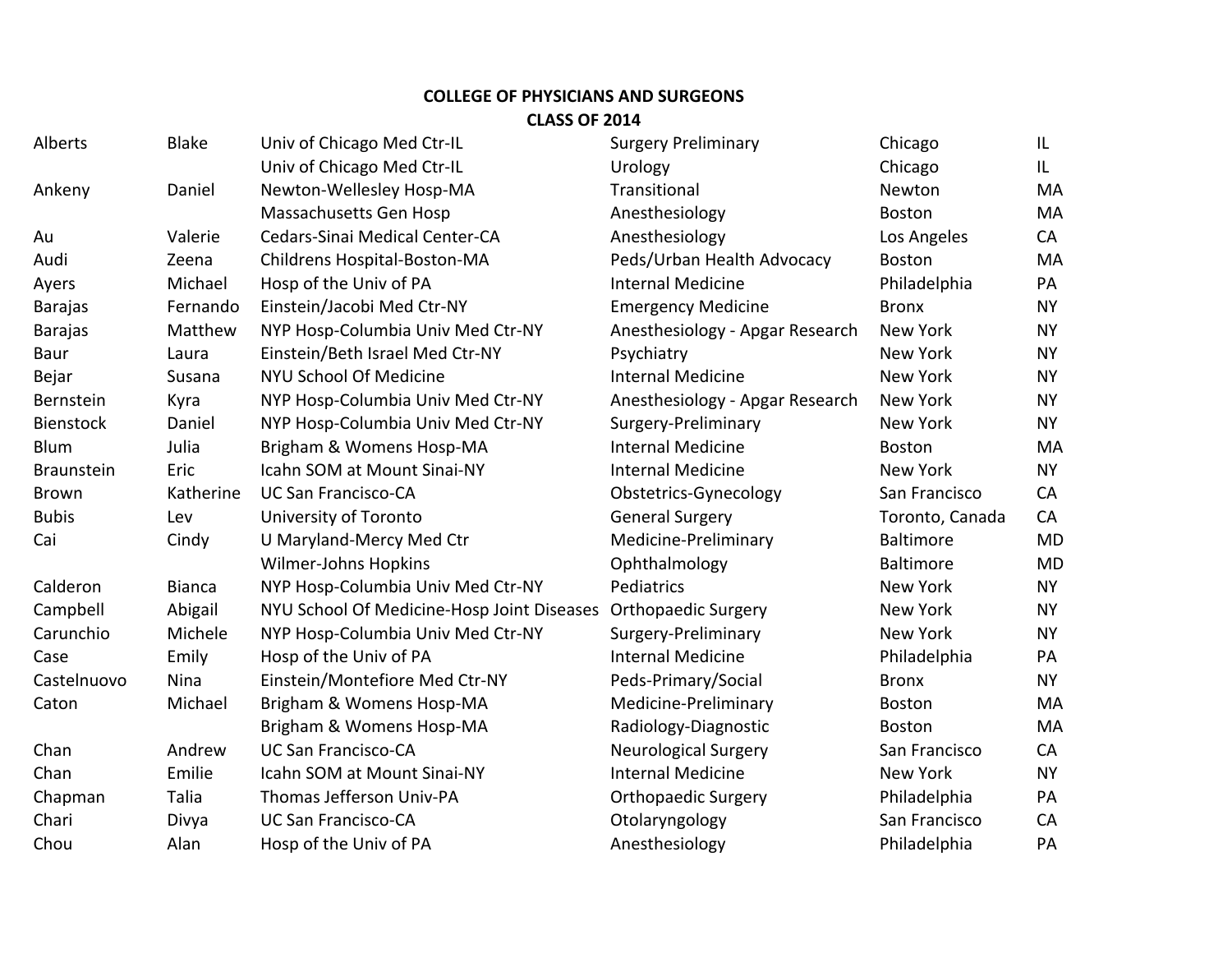## **COLLEGE OF PHYSICIANS AND SURGEONS CLASS OF 2014**

| <b>Alberts</b>    | <b>Blake</b>  | Univ of Chicago Med Ctr-IL                 | <b>Surgery Preliminary</b>      | Chicago          | IL        |
|-------------------|---------------|--------------------------------------------|---------------------------------|------------------|-----------|
|                   |               | Univ of Chicago Med Ctr-IL                 | Urology                         | Chicago          | IL.       |
| Ankeny            | Daniel        | Newton-Wellesley Hosp-MA                   | Transitional                    | Newton           | MA        |
|                   |               | Massachusetts Gen Hosp                     | Anesthesiology                  | <b>Boston</b>    | <b>MA</b> |
| Au                | Valerie       | Cedars-Sinai Medical Center-CA             | Anesthesiology                  | Los Angeles      | CA        |
| Audi              | Zeena         | Childrens Hospital-Boston-MA               | Peds/Urban Health Advocacy      | <b>Boston</b>    | MA        |
| Ayers             | Michael       | Hosp of the Univ of PA                     | <b>Internal Medicine</b>        | Philadelphia     | PA        |
| <b>Barajas</b>    | Fernando      | Einstein/Jacobi Med Ctr-NY                 | <b>Emergency Medicine</b>       | <b>Bronx</b>     | <b>NY</b> |
| Barajas           | Matthew       | NYP Hosp-Columbia Univ Med Ctr-NY          | Anesthesiology - Apgar Research | New York         | <b>NY</b> |
| <b>Baur</b>       | Laura         | Einstein/Beth Israel Med Ctr-NY            | Psychiatry                      | New York         | <b>NY</b> |
| Bejar             | Susana        | NYU School Of Medicine                     | <b>Internal Medicine</b>        | New York         | <b>NY</b> |
| Bernstein         | Kyra          | NYP Hosp-Columbia Univ Med Ctr-NY          | Anesthesiology - Apgar Research | New York         | <b>NY</b> |
| <b>Bienstock</b>  | Daniel        | NYP Hosp-Columbia Univ Med Ctr-NY          | Surgery-Preliminary             | New York         | <b>NY</b> |
| Blum              | Julia         | Brigham & Womens Hosp-MA                   | <b>Internal Medicine</b>        | <b>Boston</b>    | MA        |
| <b>Braunstein</b> | Eric          | Icahn SOM at Mount Sinai-NY                | <b>Internal Medicine</b>        | New York         | <b>NY</b> |
| Brown             | Katherine     | <b>UC San Francisco-CA</b>                 | Obstetrics-Gynecology           | San Francisco    | CA        |
| <b>Bubis</b>      | Lev           | University of Toronto                      | <b>General Surgery</b>          | Toronto, Canada  | CA        |
| Cai               | Cindy         | U Maryland-Mercy Med Ctr                   | Medicine-Preliminary            | <b>Baltimore</b> | <b>MD</b> |
|                   |               | Wilmer-Johns Hopkins                       | Ophthalmology                   | Baltimore        | <b>MD</b> |
| Calderon          | <b>Bianca</b> | NYP Hosp-Columbia Univ Med Ctr-NY          | Pediatrics                      | New York         | <b>NY</b> |
| Campbell          | Abigail       | NYU School Of Medicine-Hosp Joint Diseases | <b>Orthopaedic Surgery</b>      | New York         | <b>NY</b> |
| Carunchio         | Michele       | NYP Hosp-Columbia Univ Med Ctr-NY          | Surgery-Preliminary             | New York         | <b>NY</b> |
| Case              | Emily         | Hosp of the Univ of PA                     | <b>Internal Medicine</b>        | Philadelphia     | PA        |
| Castelnuovo       | Nina          | Einstein/Montefiore Med Ctr-NY             | Peds-Primary/Social             | <b>Bronx</b>     | <b>NY</b> |
| Caton             | Michael       | Brigham & Womens Hosp-MA                   | Medicine-Preliminary            | Boston           | MA        |
|                   |               | Brigham & Womens Hosp-MA                   | Radiology-Diagnostic            | <b>Boston</b>    | MA        |
| Chan              | Andrew        | <b>UC San Francisco-CA</b>                 | <b>Neurological Surgery</b>     | San Francisco    | CA        |
| Chan              | Emilie        | Icahn SOM at Mount Sinai-NY                | <b>Internal Medicine</b>        | New York         | <b>NY</b> |
| Chapman           | Talia         | Thomas Jefferson Univ-PA                   | <b>Orthopaedic Surgery</b>      | Philadelphia     | PA        |
| Chari             | Divya         | <b>UC San Francisco-CA</b>                 | Otolaryngology                  | San Francisco    | CA        |
| Chou              | Alan          | Hosp of the Univ of PA                     | Anesthesiology                  | Philadelphia     | PA        |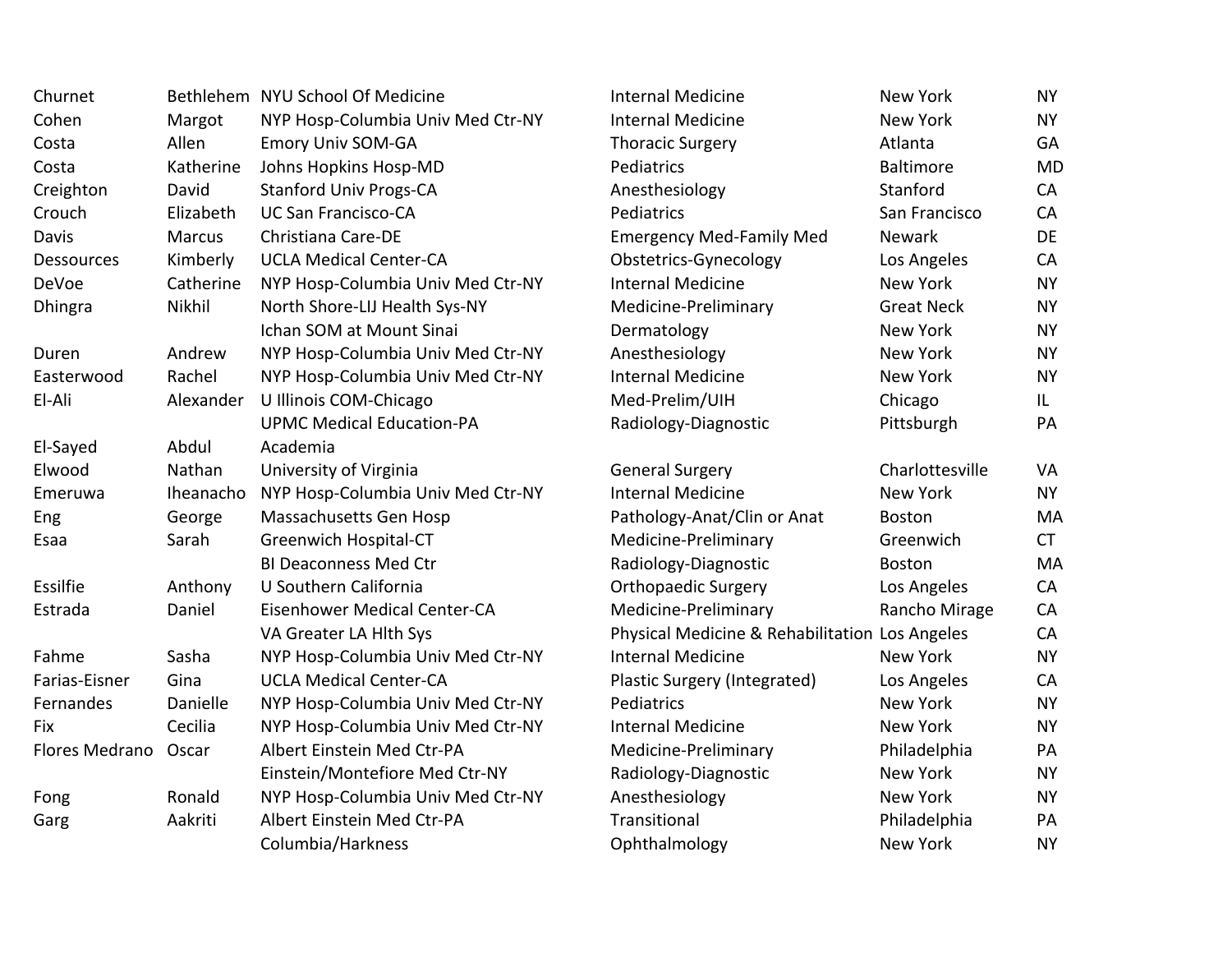| Churnet           |           | Bethlehem NYU School Of Medicine  | <b>Internal Medicine</b>                       | New York          | <b>NY</b> |
|-------------------|-----------|-----------------------------------|------------------------------------------------|-------------------|-----------|
| Cohen             | Margot    | NYP Hosp-Columbia Univ Med Ctr-NY | <b>Internal Medicine</b>                       | New York          | <b>NY</b> |
| Costa             | Allen     | <b>Emory Univ SOM-GA</b>          | <b>Thoracic Surgery</b>                        | Atlanta           | GA        |
| Costa             | Katherine | Johns Hopkins Hosp-MD             | Pediatrics                                     | <b>Baltimore</b>  | <b>MD</b> |
| Creighton         | David     | <b>Stanford Univ Progs-CA</b>     | Anesthesiology                                 | Stanford          | CA        |
| Crouch            | Elizabeth | <b>UC San Francisco-CA</b>        | Pediatrics                                     | San Francisco     | CA        |
| Davis             | Marcus    | Christiana Care-DE                | <b>Emergency Med-Family Med</b>                | <b>Newark</b>     | DE        |
| <b>Dessources</b> | Kimberly  | <b>UCLA Medical Center-CA</b>     | Obstetrics-Gynecology                          | Los Angeles       | CA        |
| DeVoe             | Catherine | NYP Hosp-Columbia Univ Med Ctr-NY | <b>Internal Medicine</b>                       | New York          | <b>NY</b> |
| Dhingra           | Nikhil    | North Shore-LIJ Health Sys-NY     | Medicine-Preliminary                           | <b>Great Neck</b> | <b>NY</b> |
|                   |           | Ichan SOM at Mount Sinai          | Dermatology                                    | New York          | <b>NY</b> |
| Duren             | Andrew    | NYP Hosp-Columbia Univ Med Ctr-NY | Anesthesiology                                 | New York          | <b>NY</b> |
| Easterwood        | Rachel    | NYP Hosp-Columbia Univ Med Ctr-NY | <b>Internal Medicine</b>                       | New York          | <b>NY</b> |
| El-Ali            | Alexander | U Illinois COM-Chicago            | Med-Prelim/UIH                                 | Chicago           | IL.       |
|                   |           | <b>UPMC Medical Education-PA</b>  | Radiology-Diagnostic                           | Pittsburgh        | PA        |
| El-Sayed          | Abdul     | Academia                          |                                                |                   |           |
| Elwood            | Nathan    | University of Virginia            | <b>General Surgery</b>                         | Charlottesville   | VA        |
| Emeruwa           | Iheanacho | NYP Hosp-Columbia Univ Med Ctr-NY | <b>Internal Medicine</b>                       | New York          | <b>NY</b> |
| Eng               | George    | Massachusetts Gen Hosp            | Pathology-Anat/Clin or Anat                    | <b>Boston</b>     | MA        |
| Esaa              | Sarah     | Greenwich Hospital-CT             | Medicine-Preliminary                           | Greenwich         | <b>CT</b> |
|                   |           | <b>BI Deaconness Med Ctr</b>      | Radiology-Diagnostic                           | Boston            | MA        |
| Essilfie          | Anthony   | U Southern California             | <b>Orthopaedic Surgery</b>                     | Los Angeles       | CA        |
| Estrada           | Daniel    | Eisenhower Medical Center-CA      | Medicine-Preliminary                           | Rancho Mirage     | CA        |
|                   |           | VA Greater LA Hith Sys            | Physical Medicine & Rehabilitation Los Angeles |                   | CA        |
| Fahme             | Sasha     | NYP Hosp-Columbia Univ Med Ctr-NY | <b>Internal Medicine</b>                       | New York          | <b>NY</b> |
| Farias-Eisner     | Gina      | <b>UCLA Medical Center-CA</b>     | Plastic Surgery (Integrated)                   | Los Angeles       | CA        |
| Fernandes         | Danielle  | NYP Hosp-Columbia Univ Med Ctr-NY | Pediatrics                                     | New York          | <b>NY</b> |
| Fix               | Cecilia   | NYP Hosp-Columbia Univ Med Ctr-NY | <b>Internal Medicine</b>                       | New York          | <b>NY</b> |
| Flores Medrano    | Oscar     | Albert Einstein Med Ctr-PA        | Medicine-Preliminary                           | Philadelphia      | PA        |
|                   |           | Einstein/Montefiore Med Ctr-NY    | Radiology-Diagnostic                           | New York          | <b>NY</b> |
| Fong              | Ronald    | NYP Hosp-Columbia Univ Med Ctr-NY | Anesthesiology                                 | New York          | <b>NY</b> |
| Garg              | Aakriti   | Albert Einstein Med Ctr-PA        | Transitional                                   | Philadelphia      | PA        |
|                   |           | Columbia/Harkness                 | Ophthalmology                                  | New York          | <b>NY</b> |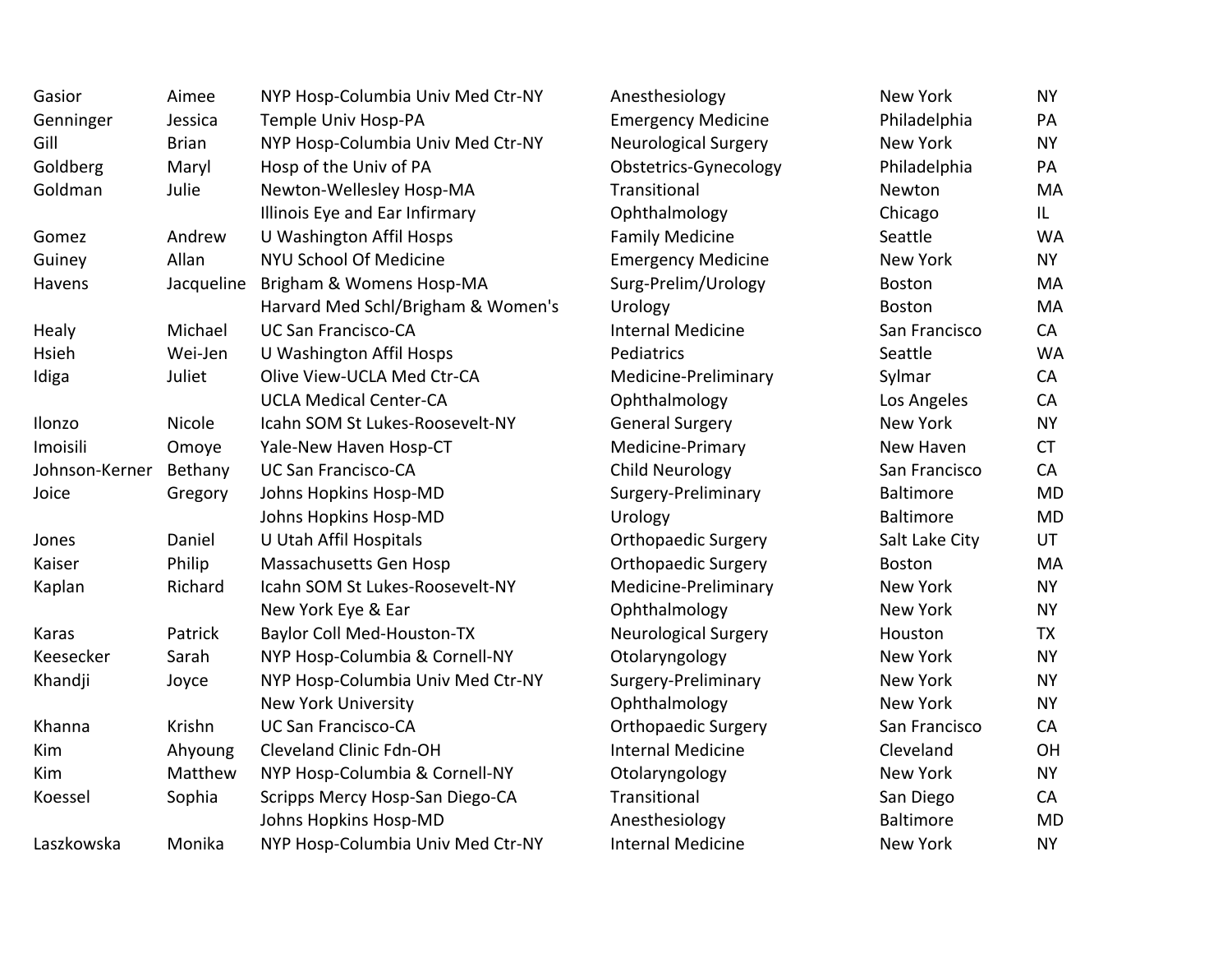| Gasior         | Aimee        | NYP Hosp-Columbia Univ Med Ctr-NY  | Anesthesiology              | New York         | <b>NY</b> |
|----------------|--------------|------------------------------------|-----------------------------|------------------|-----------|
| Genninger      | Jessica      | Temple Univ Hosp-PA                | <b>Emergency Medicine</b>   | Philadelphia     | PA        |
| Gill           | <b>Brian</b> | NYP Hosp-Columbia Univ Med Ctr-NY  | Neurological Surgery        | New York         | <b>NY</b> |
| Goldberg       | Maryl        | Hosp of the Univ of PA             | Obstetrics-Gynecology       | Philadelphia     | PA        |
| Goldman        | Julie        | Newton-Wellesley Hosp-MA           | Transitional                | Newton           | MA        |
|                |              | Illinois Eye and Ear Infirmary     | Ophthalmology               | Chicago          | IL.       |
| Gomez          | Andrew       | U Washington Affil Hosps           | <b>Family Medicine</b>      | Seattle          | <b>WA</b> |
| Guiney         | Allan        | <b>NYU School Of Medicine</b>      | <b>Emergency Medicine</b>   | New York         | <b>NY</b> |
| Havens         | Jacqueline   | Brigham & Womens Hosp-MA           | Surg-Prelim/Urology         | <b>Boston</b>    | MA        |
|                |              | Harvard Med Schl/Brigham & Women's | Urology                     | <b>Boston</b>    | MA        |
| Healy          | Michael      | <b>UC San Francisco-CA</b>         | <b>Internal Medicine</b>    | San Francisco    | CA        |
| Hsieh          | Wei-Jen      | U Washington Affil Hosps           | Pediatrics                  | Seattle          | <b>WA</b> |
| Idiga          | Juliet       | Olive View-UCLA Med Ctr-CA         | Medicine-Preliminary        | Sylmar           | CA        |
|                |              | <b>UCLA Medical Center-CA</b>      | Ophthalmology               | Los Angeles      | CA        |
| Ilonzo         | Nicole       | Icahn SOM St Lukes-Roosevelt-NY    | <b>General Surgery</b>      | New York         | <b>NY</b> |
| Imoisili       | Omoye        | Yale-New Haven Hosp-CT             | Medicine-Primary            | New Haven        | <b>CT</b> |
| Johnson-Kerner | Bethany      | <b>UC San Francisco-CA</b>         | <b>Child Neurology</b>      | San Francisco    | CA        |
| Joice          | Gregory      | Johns Hopkins Hosp-MD              | Surgery-Preliminary         | <b>Baltimore</b> | <b>MD</b> |
|                |              | Johns Hopkins Hosp-MD              | Urology                     | Baltimore        | <b>MD</b> |
| Jones          | Daniel       | U Utah Affil Hospitals             | <b>Orthopaedic Surgery</b>  | Salt Lake City   | UT        |
| Kaiser         | Philip       | Massachusetts Gen Hosp             | <b>Orthopaedic Surgery</b>  | <b>Boston</b>    | MA        |
| Kaplan         | Richard      | Icahn SOM St Lukes-Roosevelt-NY    | Medicine-Preliminary        | New York         | <b>NY</b> |
|                |              | New York Eye & Ear                 | Ophthalmology               | New York         | <b>NY</b> |
| Karas          | Patrick      | <b>Baylor Coll Med-Houston-TX</b>  | <b>Neurological Surgery</b> | Houston          | <b>TX</b> |
| Keesecker      | Sarah        | NYP Hosp-Columbia & Cornell-NY     | Otolaryngology              | New York         | <b>NY</b> |
| Khandji        | Joyce        | NYP Hosp-Columbia Univ Med Ctr-NY  | Surgery-Preliminary         | New York         | <b>NY</b> |
|                |              | New York University                | Ophthalmology               | New York         | <b>NY</b> |
| Khanna         | Krishn       | <b>UC San Francisco-CA</b>         | <b>Orthopaedic Surgery</b>  | San Francisco    | CA        |
| Kim            | Ahyoung      | Cleveland Clinic Fdn-OH            | <b>Internal Medicine</b>    | Cleveland        | OH        |
| Kim            | Matthew      | NYP Hosp-Columbia & Cornell-NY     | Otolaryngology              | New York         | <b>NY</b> |
| Koessel        | Sophia       | Scripps Mercy Hosp-San Diego-CA    | Transitional                | San Diego        | CA        |
|                |              | Johns Hopkins Hosp-MD              | Anesthesiology              | <b>Baltimore</b> | <b>MD</b> |
| Laszkowska     | Monika       | NYP Hosp-Columbia Univ Med Ctr-NY  | <b>Internal Medicine</b>    | New York         | <b>NY</b> |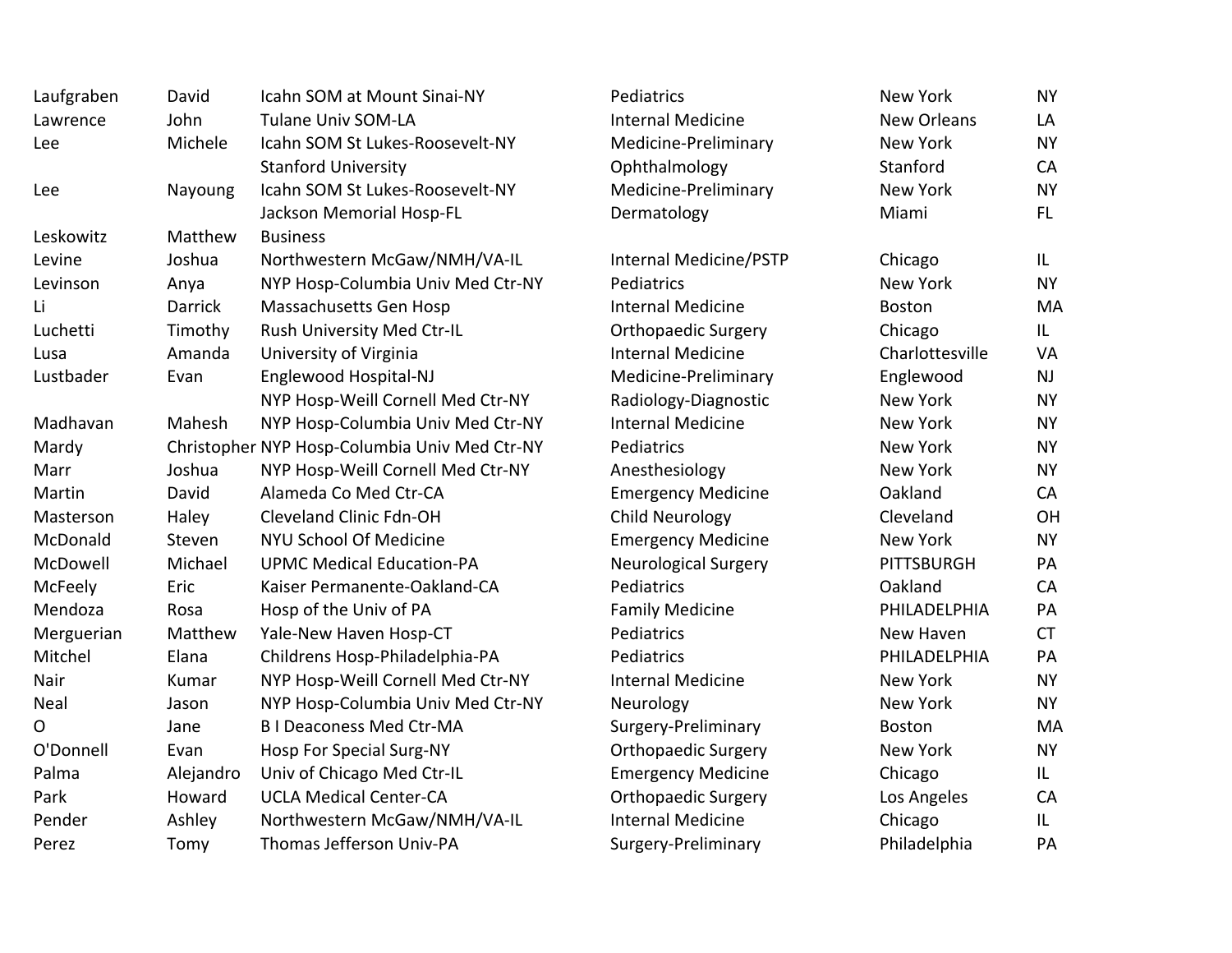| Laufgraben | David     | Icahn SOM at Mount Sinai-NY                   | Pediatrics                 | New York           | <b>NY</b> |
|------------|-----------|-----------------------------------------------|----------------------------|--------------------|-----------|
| Lawrence   | John      | <b>Tulane Univ SOM-LA</b>                     | <b>Internal Medicine</b>   | <b>New Orleans</b> | LA        |
| Lee        | Michele   | Icahn SOM St Lukes-Roosevelt-NY               | Medicine-Preliminary       | New York           | <b>NY</b> |
|            |           | <b>Stanford University</b>                    | Ophthalmology              | Stanford           | CA        |
| Lee        | Nayoung   | Icahn SOM St Lukes-Roosevelt-NY               | Medicine-Preliminary       | New York           | <b>NY</b> |
|            |           | Jackson Memorial Hosp-FL                      | Dermatology                | Miami              | FL.       |
| Leskowitz  | Matthew   | <b>Business</b>                               |                            |                    |           |
| Levine     | Joshua    | Northwestern McGaw/NMH/VA-IL                  | Internal Medicine/PSTP     | Chicago            | IL.       |
| Levinson   | Anya      | NYP Hosp-Columbia Univ Med Ctr-NY             | Pediatrics                 | New York           | <b>NY</b> |
| Li         | Darrick   | Massachusetts Gen Hosp                        | <b>Internal Medicine</b>   | Boston             | MA        |
| Luchetti   | Timothy   | Rush University Med Ctr-IL                    | <b>Orthopaedic Surgery</b> | Chicago            | IL.       |
| Lusa       | Amanda    | University of Virginia                        | <b>Internal Medicine</b>   | Charlottesville    | VA        |
| Lustbader  | Evan      | Englewood Hospital-NJ                         | Medicine-Preliminary       | Englewood          | <b>NJ</b> |
|            |           | NYP Hosp-Weill Cornell Med Ctr-NY             | Radiology-Diagnostic       | New York           | <b>NY</b> |
| Madhavan   | Mahesh    | NYP Hosp-Columbia Univ Med Ctr-NY             | <b>Internal Medicine</b>   | New York           | <b>NY</b> |
| Mardy      |           | Christopher NYP Hosp-Columbia Univ Med Ctr-NY | Pediatrics                 | New York           | <b>NY</b> |
| Marr       | Joshua    | NYP Hosp-Weill Cornell Med Ctr-NY             | Anesthesiology             | New York           | <b>NY</b> |
| Martin     | David     | Alameda Co Med Ctr-CA                         | <b>Emergency Medicine</b>  | Oakland            | CA        |
| Masterson  | Haley     | Cleveland Clinic Fdn-OH                       | Child Neurology            | Cleveland          | OH        |
| McDonald   | Steven    | NYU School Of Medicine                        | <b>Emergency Medicine</b>  | New York           | <b>NY</b> |
| McDowell   | Michael   | <b>UPMC Medical Education-PA</b>              | Neurological Surgery       | PITTSBURGH         | PA        |
| McFeely    | Eric      | Kaiser Permanente-Oakland-CA                  | Pediatrics                 | Oakland            | CA        |
| Mendoza    | Rosa      | Hosp of the Univ of PA                        | <b>Family Medicine</b>     | PHILADELPHIA       | PA        |
| Merguerian | Matthew   | Yale-New Haven Hosp-CT                        | Pediatrics                 | New Haven          | <b>CT</b> |
| Mitchel    | Elana     | Childrens Hosp-Philadelphia-PA                | Pediatrics                 | PHILADELPHIA       | PA        |
| Nair       | Kumar     | NYP Hosp-Weill Cornell Med Ctr-NY             | <b>Internal Medicine</b>   | New York           | <b>NY</b> |
| Neal       | Jason     | NYP Hosp-Columbia Univ Med Ctr-NY             | Neurology                  | New York           | <b>NY</b> |
| О          | Jane      | <b>BI Deaconess Med Ctr-MA</b>                | Surgery-Preliminary        | Boston             | MA        |
| O'Donnell  | Evan      | Hosp For Special Surg-NY                      | <b>Orthopaedic Surgery</b> | New York           | <b>NY</b> |
| Palma      | Alejandro | Univ of Chicago Med Ctr-IL                    | <b>Emergency Medicine</b>  | Chicago            | IL.       |
| Park       | Howard    | <b>UCLA Medical Center-CA</b>                 | <b>Orthopaedic Surgery</b> | Los Angeles        | CA        |
| Pender     | Ashley    | Northwestern McGaw/NMH/VA-IL                  | <b>Internal Medicine</b>   | Chicago            | L         |
| Perez      | Tomy      | Thomas Jefferson Univ-PA                      | Surgery-Preliminary        | Philadelphia       | PA        |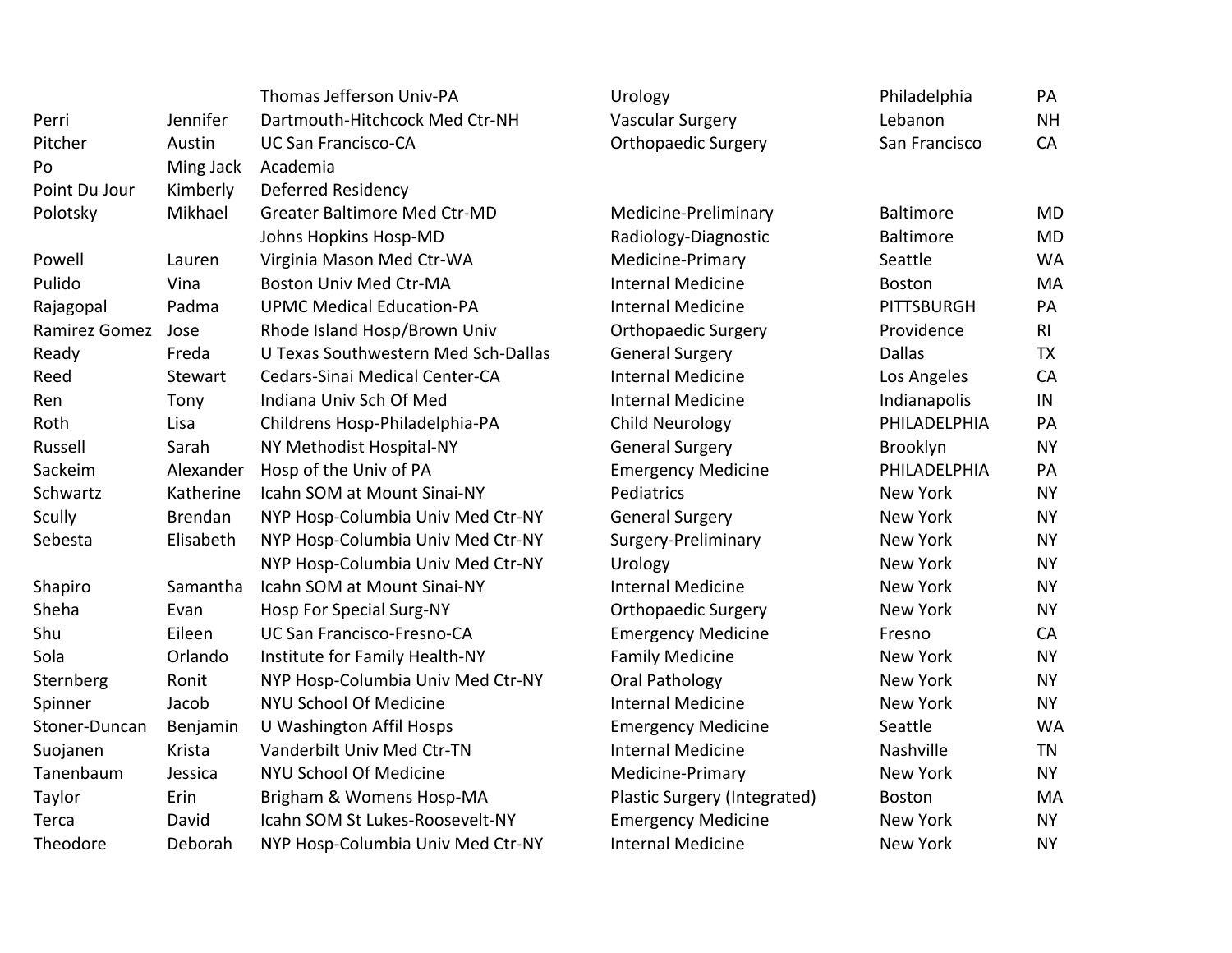|               |           | Thomas Jefferson Univ-PA            | Urology                      | Philadelphia      | PA             |
|---------------|-----------|-------------------------------------|------------------------------|-------------------|----------------|
| Perri         | Jennifer  | Dartmouth-Hitchcock Med Ctr-NH      | <b>Vascular Surgery</b>      | Lebanon           | <b>NH</b>      |
| Pitcher       | Austin    | <b>UC San Francisco-CA</b>          | <b>Orthopaedic Surgery</b>   | San Francisco     | CA             |
| Po            | Ming Jack | Academia                            |                              |                   |                |
| Point Du Jour | Kimberly  | Deferred Residency                  |                              |                   |                |
| Polotsky      | Mikhael   | Greater Baltimore Med Ctr-MD        | Medicine-Preliminary         | <b>Baltimore</b>  | <b>MD</b>      |
|               |           | Johns Hopkins Hosp-MD               | Radiology-Diagnostic         | <b>Baltimore</b>  | <b>MD</b>      |
| Powell        | Lauren    | Virginia Mason Med Ctr-WA           | Medicine-Primary             | Seattle           | <b>WA</b>      |
| Pulido        | Vina      | <b>Boston Univ Med Ctr-MA</b>       | <b>Internal Medicine</b>     | <b>Boston</b>     | MA             |
| Rajagopal     | Padma     | <b>UPMC Medical Education-PA</b>    | <b>Internal Medicine</b>     | <b>PITTSBURGH</b> | PA             |
| Ramirez Gomez | Jose      | Rhode Island Hosp/Brown Univ        | <b>Orthopaedic Surgery</b>   | Providence        | R <sub>l</sub> |
| Ready         | Freda     | U Texas Southwestern Med Sch-Dallas | <b>General Surgery</b>       | <b>Dallas</b>     | <b>TX</b>      |
| Reed          | Stewart   | Cedars-Sinai Medical Center-CA      | <b>Internal Medicine</b>     | Los Angeles       | CA             |
| Ren           | Tony      | Indiana Univ Sch Of Med             | <b>Internal Medicine</b>     | Indianapolis      | IN             |
| Roth          | Lisa      | Childrens Hosp-Philadelphia-PA      | <b>Child Neurology</b>       | PHILADELPHIA      | PA             |
| Russell       | Sarah     | NY Methodist Hospital-NY            | <b>General Surgery</b>       | Brooklyn          | <b>NY</b>      |
| Sackeim       | Alexander | Hosp of the Univ of PA              | <b>Emergency Medicine</b>    | PHILADELPHIA      | PA             |
| Schwartz      | Katherine | Icahn SOM at Mount Sinai-NY         | Pediatrics                   | New York          | <b>NY</b>      |
| <b>Scully</b> | Brendan   | NYP Hosp-Columbia Univ Med Ctr-NY   | <b>General Surgery</b>       | New York          | <b>NY</b>      |
| Sebesta       | Elisabeth | NYP Hosp-Columbia Univ Med Ctr-NY   | Surgery-Preliminary          | <b>New York</b>   | <b>NY</b>      |
|               |           | NYP Hosp-Columbia Univ Med Ctr-NY   | Urology                      | New York          | <b>NY</b>      |
| Shapiro       | Samantha  | Icahn SOM at Mount Sinai-NY         | <b>Internal Medicine</b>     | New York          | <b>NY</b>      |
| Sheha         | Evan      | Hosp For Special Surg-NY            | <b>Orthopaedic Surgery</b>   | New York          | <b>NY</b>      |
| Shu           | Eileen    | UC San Francisco-Fresno-CA          | <b>Emergency Medicine</b>    | Fresno            | <b>CA</b>      |
| Sola          | Orlando   | Institute for Family Health-NY      | <b>Family Medicine</b>       | New York          | <b>NY</b>      |
| Sternberg     | Ronit     | NYP Hosp-Columbia Univ Med Ctr-NY   | Oral Pathology               | <b>New York</b>   | <b>NY</b>      |
| Spinner       | Jacob     | NYU School Of Medicine              | <b>Internal Medicine</b>     | <b>New York</b>   | <b>NY</b>      |
| Stoner-Duncan | Benjamin  | U Washington Affil Hosps            | <b>Emergency Medicine</b>    | Seattle           | <b>WA</b>      |
| Suojanen      | Krista    | Vanderbilt Univ Med Ctr-TN          | <b>Internal Medicine</b>     | Nashville         | <b>TN</b>      |
| Tanenbaum     | Jessica   | NYU School Of Medicine              | Medicine-Primary             | <b>New York</b>   | <b>NY</b>      |
| Taylor        | Erin      | Brigham & Womens Hosp-MA            | Plastic Surgery (Integrated) | <b>Boston</b>     | MA             |
| Terca         | David     | Icahn SOM St Lukes-Roosevelt-NY     | <b>Emergency Medicine</b>    | <b>New York</b>   | <b>NY</b>      |
| Theodore      | Deborah   | NYP Hosp-Columbia Univ Med Ctr-NY   | <b>Internal Medicine</b>     | New York          | <b>NY</b>      |